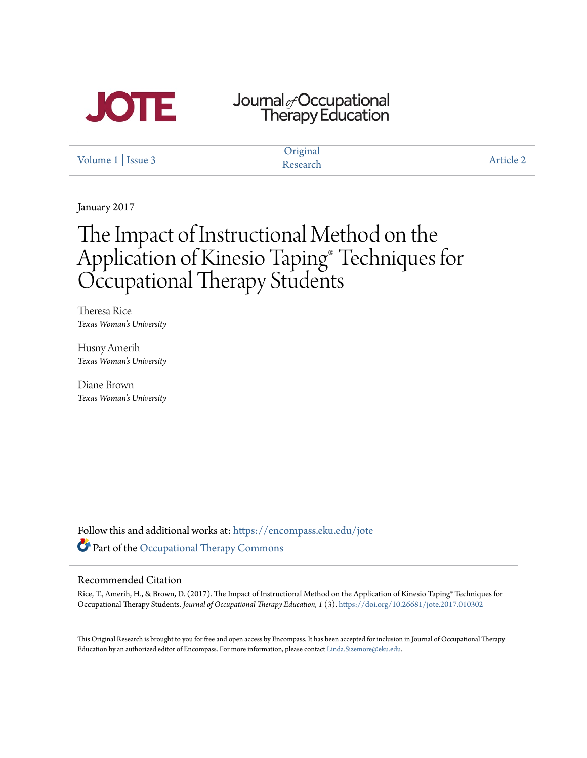

# Journal<sub>&</sub>Occupational<br>Therapy Education

[Volume 1](https://encompass.eku.edu/jote/vol1?utm_source=encompass.eku.edu%2Fjote%2Fvol1%2Fiss3%2F2&utm_medium=PDF&utm_campaign=PDFCoverPages) | [Issue 3](https://encompass.eku.edu/jote/vol1/iss3?utm_source=encompass.eku.edu%2Fjote%2Fvol1%2Fiss3%2F2&utm_medium=PDF&utm_campaign=PDFCoverPages)

**Original** Research [Article 2](https://encompass.eku.edu/jote/vol1/iss3/2?utm_source=encompass.eku.edu%2Fjote%2Fvol1%2Fiss3%2F2&utm_medium=PDF&utm_campaign=PDFCoverPages)

January 2017

## The Impact of Instructional Method on the Application of Kinesio Taping® Techniques for Occupational Therapy Students

Theresa Rice *Texas Woman's University*

Husny Amerih *Texas Woman's University*

Diane Brown *Texas Woman's University*

Follow this and additional works at: [https://encompass.eku.edu/jote](https://encompass.eku.edu/jote?utm_source=encompass.eku.edu%2Fjote%2Fvol1%2Fiss3%2F2&utm_medium=PDF&utm_campaign=PDFCoverPages) Part of the [Occupational Therapy Commons](http://network.bepress.com/hgg/discipline/752?utm_source=encompass.eku.edu%2Fjote%2Fvol1%2Fiss3%2F2&utm_medium=PDF&utm_campaign=PDFCoverPages)

#### Recommended Citation

Rice, T., Amerih, H., & Brown, D. (2017). The Impact of Instructional Method on the Application of Kinesio Taping® Techniques for Occupational Therapy Students. *Journal of Occupational Therapy Education, 1* (3). <https://doi.org/10.26681/jote.2017.010302>

This Original Research is brought to you for free and open access by Encompass. It has been accepted for inclusion in Journal of Occupational Therapy Education by an authorized editor of Encompass. For more information, please contact [Linda.Sizemore@eku.edu](mailto:Linda.Sizemore@eku.edu).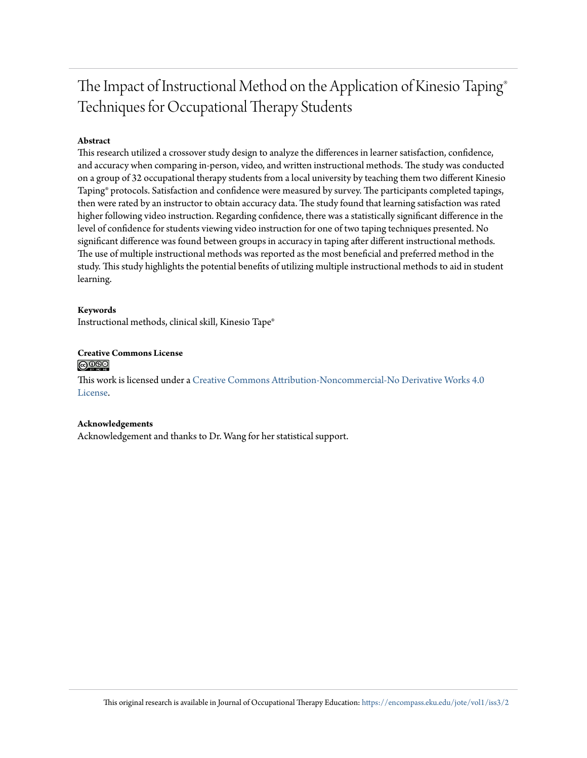## The Impact of Instructional Method on the Application of Kinesio Taping® Techniques for Occupational Therapy Students

#### **Abstract**

This research utilized a crossover study design to analyze the differences in learner satisfaction, confidence, and accuracy when comparing in-person, video, and written instructional methods. The study was conducted on a group of 32 occupational therapy students from a local university by teaching them two different Kinesio Taping® protocols. Satisfaction and confidence were measured by survey. The participants completed tapings, then were rated by an instructor to obtain accuracy data. The study found that learning satisfaction was rated higher following video instruction. Regarding confidence, there was a statistically significant difference in the level of confidence for students viewing video instruction for one of two taping techniques presented. No significant difference was found between groups in accuracy in taping after different instructional methods. The use of multiple instructional methods was reported as the most beneficial and preferred method in the study. This study highlights the potential benefits of utilizing multiple instructional methods to aid in student learning.

#### **Keywords**

Instructional methods, clinical skill, Kinesio Tape®

#### **Creative Commons License**  $\bigcirc$   $\circ$

This work is licensed under a [Creative Commons Attribution-Noncommercial-No Derivative Works 4.0](http://creativecommons.org/licenses/by-nc-nd/4.0/) [License.](http://creativecommons.org/licenses/by-nc-nd/4.0/)

#### **Acknowledgements**

Acknowledgement and thanks to Dr. Wang for her statistical support.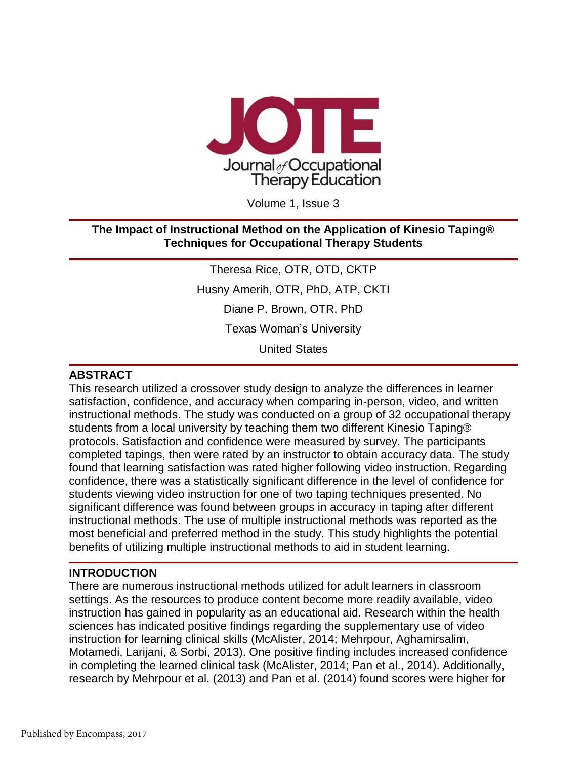

Volume 1, Issue 3

#### **The Impact of Instructional Method on the Application of Kinesio Taping® Techniques for Occupational Therapy Students**

Theresa Rice, OTR, OTD, CKTP Husny Amerih, OTR, PhD, ATP, CKTI

Diane P. Brown, OTR, PhD

Texas Woman's University

United States

#### **ABSTRACT**

This research utilized a crossover study design to analyze the differences in learner satisfaction, confidence, and accuracy when comparing in-person, video, and written instructional methods. The study was conducted on a group of 32 occupational therapy students from a local university by teaching them two different Kinesio Taping® protocols. Satisfaction and confidence were measured by survey. The participants completed tapings, then were rated by an instructor to obtain accuracy data. The study found that learning satisfaction was rated higher following video instruction. Regarding confidence, there was a statistically significant difference in the level of confidence for students viewing video instruction for one of two taping techniques presented. No significant difference was found between groups in accuracy in taping after different instructional methods. The use of multiple instructional methods was reported as the most beneficial and preferred method in the study. This study highlights the potential benefits of utilizing multiple instructional methods to aid in student learning.

#### **INTRODUCTION**

There are numerous instructional methods utilized for adult learners in classroom settings. As the resources to produce content become more readily available, video instruction has gained in popularity as an educational aid. Research within the health sciences has indicated positive findings regarding the supplementary use of video instruction for learning clinical skills (McAlister, 2014; Mehrpour, Aghamirsalim, Motamedi, Larijani, & Sorbi, 2013). One positive finding includes increased confidence in completing the learned clinical task (McAlister, 2014; Pan et al., 2014). Additionally, research by Mehrpour et al. (2013) and Pan et al. (2014) found scores were higher for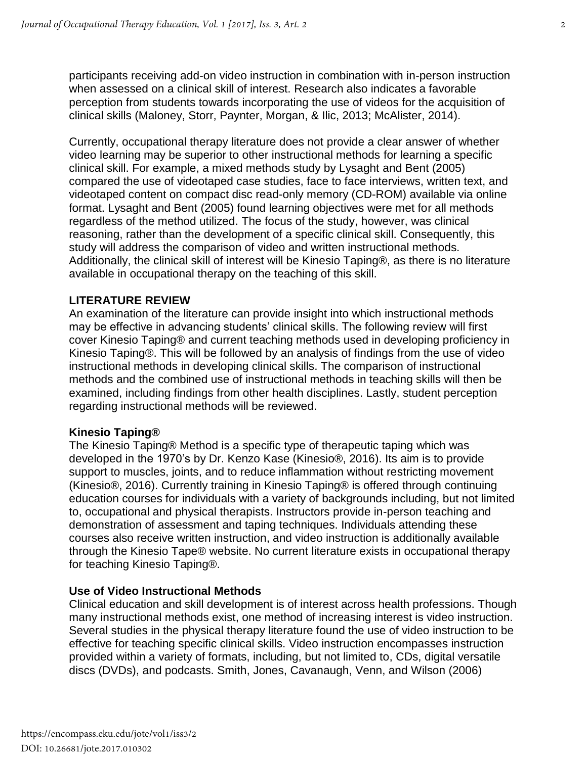participants receiving add-on video instruction in combination with in-person instruction when assessed on a clinical skill of interest. Research also indicates a favorable perception from students towards incorporating the use of videos for the acquisition of clinical skills (Maloney, Storr, Paynter, Morgan, & Ilic, 2013; McAlister, 2014).

Currently, occupational therapy literature does not provide a clear answer of whether video learning may be superior to other instructional methods for learning a specific clinical skill. For example, a mixed methods study by Lysaght and Bent (2005) compared the use of videotaped case studies, face to face interviews, written text, and videotaped content on compact disc read-only memory (CD-ROM) available via online format. Lysaght and Bent (2005) found learning objectives were met for all methods regardless of the method utilized. The focus of the study, however, was clinical reasoning, rather than the development of a specific clinical skill. Consequently, this study will address the comparison of video and written instructional methods. Additionally, the clinical skill of interest will be Kinesio Taping®, as there is no literature available in occupational therapy on the teaching of this skill.

#### **LITERATURE REVIEW**

An examination of the literature can provide insight into which instructional methods may be effective in advancing students' clinical skills. The following review will first cover Kinesio Taping® and current teaching methods used in developing proficiency in Kinesio Taping®. This will be followed by an analysis of findings from the use of video instructional methods in developing clinical skills. The comparison of instructional methods and the combined use of instructional methods in teaching skills will then be examined, including findings from other health disciplines. Lastly, student perception regarding instructional methods will be reviewed.

#### **Kinesio Taping®**

The Kinesio Taping® Method is a specific type of therapeutic taping which was developed in the 1970's by Dr. Kenzo Kase (Kinesio®, 2016). Its aim is to provide support to muscles, joints, and to reduce inflammation without restricting movement (Kinesio®, 2016). Currently training in Kinesio Taping® is offered through continuing education courses for individuals with a variety of backgrounds including, but not limited to, occupational and physical therapists. Instructors provide in-person teaching and demonstration of assessment and taping techniques. Individuals attending these courses also receive written instruction, and video instruction is additionally available through the Kinesio Tape® website. No current literature exists in occupational therapy for teaching Kinesio Taping®.

#### **Use of Video Instructional Methods**

Clinical education and skill development is of interest across health professions. Though many instructional methods exist, one method of increasing interest is video instruction. Several studies in the physical therapy literature found the use of video instruction to be effective for teaching specific clinical skills. Video instruction encompasses instruction provided within a variety of formats, including, but not limited to, CDs, digital versatile discs (DVDs), and podcasts. Smith, Jones, Cavanaugh, Venn, and Wilson (2006)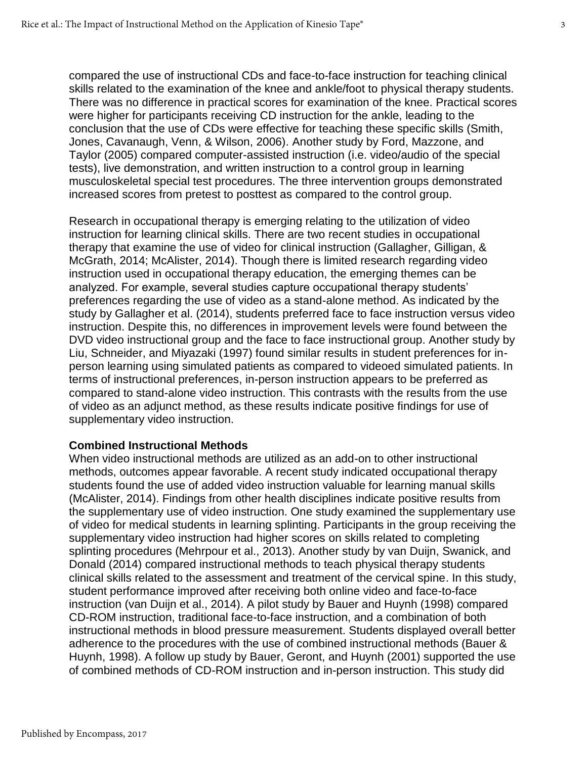compared the use of instructional CDs and face-to-face instruction for teaching clinical skills related to the examination of the knee and ankle/foot to physical therapy students. There was no difference in practical scores for examination of the knee. Practical scores were higher for participants receiving CD instruction for the ankle, leading to the conclusion that the use of CDs were effective for teaching these specific skills (Smith, Jones, Cavanaugh, Venn, & Wilson, 2006). Another study by Ford, Mazzone, and Taylor (2005) compared computer-assisted instruction (i.e. video/audio of the special tests), live demonstration, and written instruction to a control group in learning musculoskeletal special test procedures. The three intervention groups demonstrated increased scores from pretest to posttest as compared to the control group.

Research in occupational therapy is emerging relating to the utilization of video instruction for learning clinical skills. There are two recent studies in occupational therapy that examine the use of video for clinical instruction (Gallagher, Gilligan, & McGrath, 2014; McAlister, 2014). Though there is limited research regarding video instruction used in occupational therapy education, the emerging themes can be analyzed. For example, several studies capture occupational therapy students' preferences regarding the use of video as a stand-alone method. As indicated by the study by Gallagher et al. (2014), students preferred face to face instruction versus video instruction. Despite this, no differences in improvement levels were found between the DVD video instructional group and the face to face instructional group. Another study by Liu, Schneider, and Miyazaki (1997) found similar results in student preferences for inperson learning using simulated patients as compared to videoed simulated patients. In terms of instructional preferences, in-person instruction appears to be preferred as compared to stand-alone video instruction. This contrasts with the results from the use of video as an adjunct method, as these results indicate positive findings for use of supplementary video instruction.

#### **Combined Instructional Methods**

When video instructional methods are utilized as an add-on to other instructional methods, outcomes appear favorable. A recent study indicated occupational therapy students found the use of added video instruction valuable for learning manual skills (McAlister, 2014). Findings from other health disciplines indicate positive results from the supplementary use of video instruction. One study examined the supplementary use of video for medical students in learning splinting. Participants in the group receiving the supplementary video instruction had higher scores on skills related to completing splinting procedures (Mehrpour et al., 2013). Another study by van Duijn, Swanick, and Donald (2014) compared instructional methods to teach physical therapy students clinical skills related to the assessment and treatment of the cervical spine. In this study, student performance improved after receiving both online video and face-to-face instruction (van Duijn et al., 2014). A pilot study by Bauer and Huynh (1998) compared CD-ROM instruction, traditional face-to-face instruction, and a combination of both instructional methods in blood pressure measurement. Students displayed overall better adherence to the procedures with the use of combined instructional methods (Bauer & Huynh, 1998). A follow up study by Bauer, Geront, and Huynh (2001) supported the use of combined methods of CD-ROM instruction and in-person instruction. This study did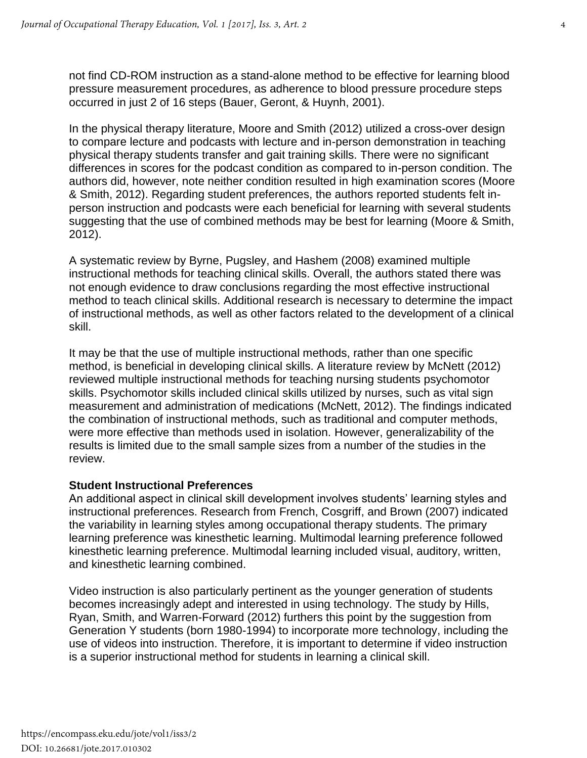not find CD-ROM instruction as a stand-alone method to be effective for learning blood pressure measurement procedures, as adherence to blood pressure procedure steps occurred in just 2 of 16 steps (Bauer, Geront, & Huynh, 2001).

In the physical therapy literature, Moore and Smith (2012) utilized a cross-over design to compare lecture and podcasts with lecture and in-person demonstration in teaching physical therapy students transfer and gait training skills. There were no significant differences in scores for the podcast condition as compared to in-person condition. The authors did, however, note neither condition resulted in high examination scores (Moore & Smith, 2012). Regarding student preferences, the authors reported students felt inperson instruction and podcasts were each beneficial for learning with several students suggesting that the use of combined methods may be best for learning (Moore & Smith, 2012).

A systematic review by Byrne, Pugsley, and Hashem (2008) examined multiple instructional methods for teaching clinical skills. Overall, the authors stated there was not enough evidence to draw conclusions regarding the most effective instructional method to teach clinical skills. Additional research is necessary to determine the impact of instructional methods, as well as other factors related to the development of a clinical skill.

It may be that the use of multiple instructional methods, rather than one specific method, is beneficial in developing clinical skills. A literature review by McNett (2012) reviewed multiple instructional methods for teaching nursing students psychomotor skills. Psychomotor skills included clinical skills utilized by nurses, such as vital sign measurement and administration of medications (McNett, 2012). The findings indicated the combination of instructional methods, such as traditional and computer methods, were more effective than methods used in isolation. However, generalizability of the results is limited due to the small sample sizes from a number of the studies in the review.

#### **Student Instructional Preferences**

An additional aspect in clinical skill development involves students' learning styles and instructional preferences. Research from French, Cosgriff, and Brown (2007) indicated the variability in learning styles among occupational therapy students. The primary learning preference was kinesthetic learning. Multimodal learning preference followed kinesthetic learning preference. Multimodal learning included visual, auditory, written, and kinesthetic learning combined.

Video instruction is also particularly pertinent as the younger generation of students becomes increasingly adept and interested in using technology. The study by Hills, Ryan, Smith, and Warren-Forward (2012) furthers this point by the suggestion from Generation Y students (born 1980-1994) to incorporate more technology, including the use of videos into instruction. Therefore, it is important to determine if video instruction is a superior instructional method for students in learning a clinical skill.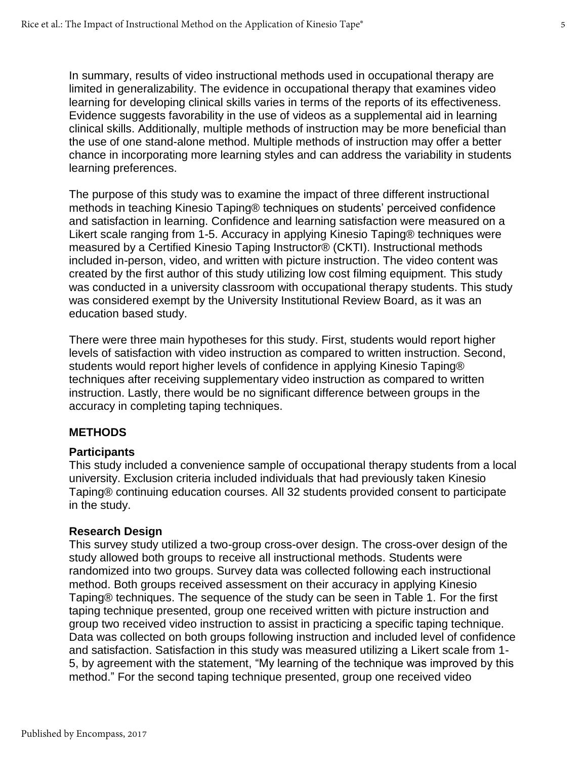In summary, results of video instructional methods used in occupational therapy are limited in generalizability. The evidence in occupational therapy that examines video learning for developing clinical skills varies in terms of the reports of its effectiveness. Evidence suggests favorability in the use of videos as a supplemental aid in learning clinical skills. Additionally, multiple methods of instruction may be more beneficial than the use of one stand-alone method. Multiple methods of instruction may offer a better chance in incorporating more learning styles and can address the variability in students learning preferences.

The purpose of this study was to examine the impact of three different instructional methods in teaching Kinesio Taping® techniques on students' perceived confidence and satisfaction in learning. Confidence and learning satisfaction were measured on a Likert scale ranging from 1-5. Accuracy in applying Kinesio Taping® techniques were measured by a Certified Kinesio Taping Instructor® (CKTI). Instructional methods included in-person, video, and written with picture instruction. The video content was created by the first author of this study utilizing low cost filming equipment. This study was conducted in a university classroom with occupational therapy students. This study was considered exempt by the University Institutional Review Board, as it was an education based study.

There were three main hypotheses for this study. First, students would report higher levels of satisfaction with video instruction as compared to written instruction. Second, students would report higher levels of confidence in applying Kinesio Taping® techniques after receiving supplementary video instruction as compared to written instruction. Lastly, there would be no significant difference between groups in the accuracy in completing taping techniques.

#### **METHODS**

#### **Participants**

This study included a convenience sample of occupational therapy students from a local university. Exclusion criteria included individuals that had previously taken Kinesio Taping® continuing education courses. All 32 students provided consent to participate in the study.

#### **Research Design**

This survey study utilized a two-group cross-over design. The cross-over design of the study allowed both groups to receive all instructional methods. Students were randomized into two groups. Survey data was collected following each instructional method. Both groups received assessment on their accuracy in applying Kinesio Taping® techniques. The sequence of the study can be seen in Table 1. For the first taping technique presented, group one received written with picture instruction and group two received video instruction to assist in practicing a specific taping technique. Data was collected on both groups following instruction and included level of confidence and satisfaction. Satisfaction in this study was measured utilizing a Likert scale from 1- 5, by agreement with the statement, "My learning of the technique was improved by this method." For the second taping technique presented, group one received video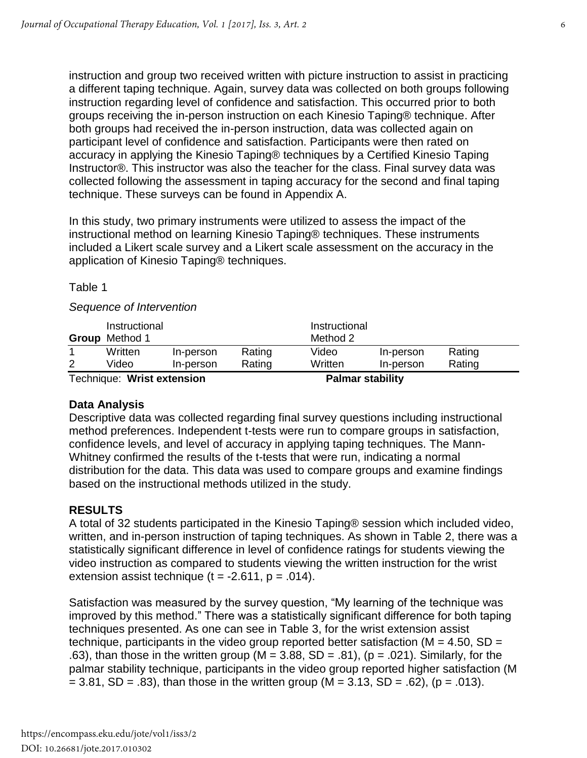instruction and group two received written with picture instruction to assist in practicing a different taping technique. Again, survey data was collected on both groups following instruction regarding level of confidence and satisfaction. This occurred prior to both groups receiving the in-person instruction on each Kinesio Taping® technique. After both groups had received the in-person instruction, data was collected again on participant level of confidence and satisfaction. Participants were then rated on accuracy in applying the Kinesio Taping® techniques by a Certified Kinesio Taping Instructor®. This instructor was also the teacher for the class. Final survey data was collected following the assessment in taping accuracy for the second and final taping technique. These surveys can be found in Appendix A.

In this study, two primary instruments were utilized to assess the impact of the instructional method on learning Kinesio Taping® techniques. These instruments included a Likert scale survey and a Likert scale assessment on the accuracy in the application of Kinesio Taping® techniques.

Table 1

#### *Sequence of Intervention*

|                            | Instructional<br><b>Group</b> Method 1 |           |                         | Instructional<br>Method 2 |           |        |  |
|----------------------------|----------------------------------------|-----------|-------------------------|---------------------------|-----------|--------|--|
|                            | Written                                | In-person | Rating                  | Video                     | In-person | Rating |  |
| 2                          | Video                                  | In-person | Rating                  | Written                   | In-person | Rating |  |
| Technique: Wrist extension |                                        |           | <b>Palmar stability</b> |                           |           |        |  |

#### **Data Analysis**

Descriptive data was collected regarding final survey questions including instructional method preferences. Independent t-tests were run to compare groups in satisfaction, confidence levels, and level of accuracy in applying taping techniques. The Mann-Whitney confirmed the results of the t-tests that were run, indicating a normal distribution for the data. This data was used to compare groups and examine findings based on the instructional methods utilized in the study.

#### **RESULTS**

A total of 32 students participated in the Kinesio Taping® session which included video, written, and in-person instruction of taping techniques. As shown in Table 2, there was a statistically significant difference in level of confidence ratings for students viewing the video instruction as compared to students viewing the written instruction for the wrist extension assist technique ( $t = -2.611$ ,  $p = .014$ ).

Satisfaction was measured by the survey question, "My learning of the technique was improved by this method." There was a statistically significant difference for both taping techniques presented. As one can see in Table 3, for the wrist extension assist technique, participants in the video group reported better satisfaction ( $M = 4.50$ , SD = .63), than those in the written group ( $M = 3.88$ , SD = .81), ( $p = .021$ ). Similarly, for the palmar stability technique, participants in the video group reported higher satisfaction (M  $= 3.81$ , SD = .83), than those in the written group (M = 3.13, SD = .62), (p = .013).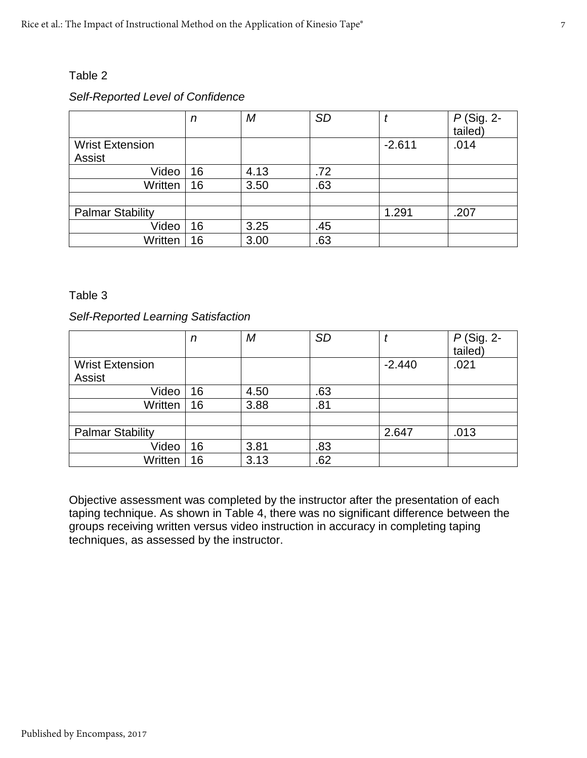#### Table 2

#### *Self-Reported Level of Confidence*

|                                         | n  | М    | <b>SD</b> |          | P (Sig. 2-<br>tailed) |
|-----------------------------------------|----|------|-----------|----------|-----------------------|
| <b>Wrist Extension</b><br><b>Assist</b> |    |      |           | $-2.611$ | .014                  |
|                                         |    |      |           |          |                       |
| Video                                   | 16 | 4.13 | .72       |          |                       |
| Written                                 | 16 | 3.50 | .63       |          |                       |
|                                         |    |      |           |          |                       |
| <b>Palmar Stability</b>                 |    |      |           | 1.291    | .207                  |
| Video                                   | 16 | 3.25 | .45       |          |                       |
| Written                                 | 16 | 3.00 | .63       |          |                       |

#### Table 3

#### *Self-Reported Learning Satisfaction*

|                                         | n  | М    | <b>SD</b> |          | $P$ (Sig. 2-<br>tailed) |
|-----------------------------------------|----|------|-----------|----------|-------------------------|
| <b>Wrist Extension</b><br><b>Assist</b> |    |      |           | $-2.440$ | .021                    |
|                                         |    |      |           |          |                         |
| Video                                   | 16 | 4.50 | .63       |          |                         |
| Written                                 | 16 | 3.88 | .81       |          |                         |
|                                         |    |      |           |          |                         |
| <b>Palmar Stability</b>                 |    |      |           | 2.647    | .013                    |
| Video                                   | 16 | 3.81 | .83       |          |                         |
| Written                                 | 16 | 3.13 | .62       |          |                         |

Objective assessment was completed by the instructor after the presentation of each taping technique. As shown in Table 4, there was no significant difference between the groups receiving written versus video instruction in accuracy in completing taping techniques, as assessed by the instructor.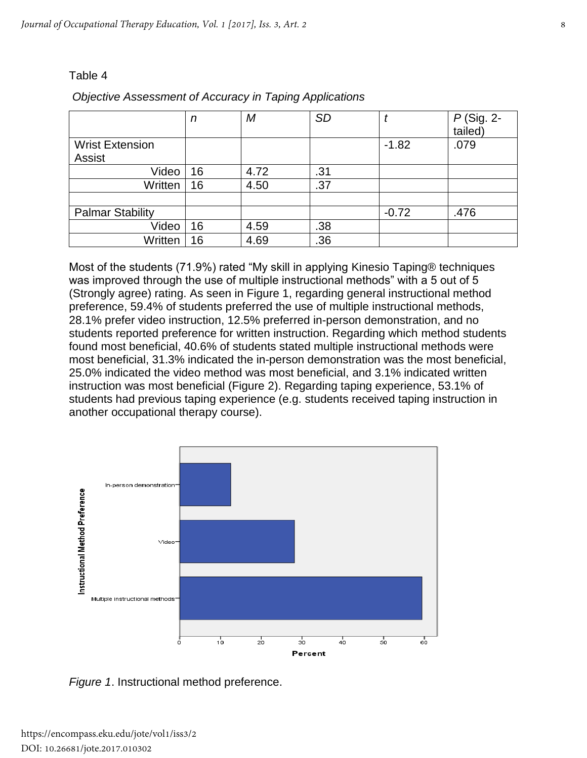#### Table 4

|                         | n  | M    | <b>SD</b> |         | $P$ (Sig. 2-<br>tailed) |
|-------------------------|----|------|-----------|---------|-------------------------|
| <b>Wrist Extension</b>  |    |      |           | $-1.82$ | .079                    |
| <b>Assist</b>           |    |      |           |         |                         |
| Video                   | 16 | 4.72 | .31       |         |                         |
| Written                 | 16 | 4.50 | .37       |         |                         |
|                         |    |      |           |         |                         |
| <b>Palmar Stability</b> |    |      |           | $-0.72$ | .476                    |
| Video                   | 16 | 4.59 | .38       |         |                         |
| Written                 | 16 | 4.69 | .36       |         |                         |

#### *Objective Assessment of Accuracy in Taping Applications*

Most of the students (71.9%) rated "My skill in applying Kinesio Taping® techniques was improved through the use of multiple instructional methods" with a 5 out of 5 (Strongly agree) rating. As seen in Figure 1, regarding general instructional method preference, 59.4% of students preferred the use of multiple instructional methods, 28.1% prefer video instruction, 12.5% preferred in-person demonstration, and no students reported preference for written instruction. Regarding which method students found most beneficial, 40.6% of students stated multiple instructional methods were most beneficial, 31.3% indicated the in-person demonstration was the most beneficial, 25.0% indicated the video method was most beneficial, and 3.1% indicated written instruction was most beneficial (Figure 2). Regarding taping experience, 53.1% of students had previous taping experience (e.g. students received taping instruction in another occupational therapy course).



*Figure 1*. Instructional method preference.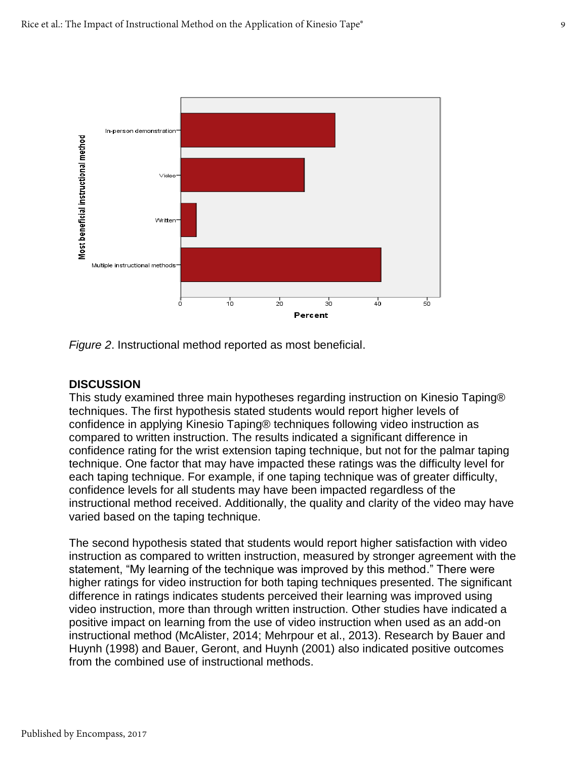

*Figure 2*. Instructional method reported as most beneficial.

#### **DISCUSSION**

This study examined three main hypotheses regarding instruction on Kinesio Taping® techniques. The first hypothesis stated students would report higher levels of confidence in applying Kinesio Taping® techniques following video instruction as compared to written instruction. The results indicated a significant difference in confidence rating for the wrist extension taping technique, but not for the palmar taping technique. One factor that may have impacted these ratings was the difficulty level for each taping technique. For example, if one taping technique was of greater difficulty, confidence levels for all students may have been impacted regardless of the instructional method received. Additionally, the quality and clarity of the video may have varied based on the taping technique.

The second hypothesis stated that students would report higher satisfaction with video instruction as compared to written instruction, measured by stronger agreement with the statement, "My learning of the technique was improved by this method." There were higher ratings for video instruction for both taping techniques presented. The significant difference in ratings indicates students perceived their learning was improved using video instruction, more than through written instruction. Other studies have indicated a positive impact on learning from the use of video instruction when used as an add-on instructional method (McAlister, 2014; Mehrpour et al., 2013). Research by Bauer and Huynh (1998) and Bauer, Geront, and Huynh (2001) also indicated positive outcomes from the combined use of instructional methods.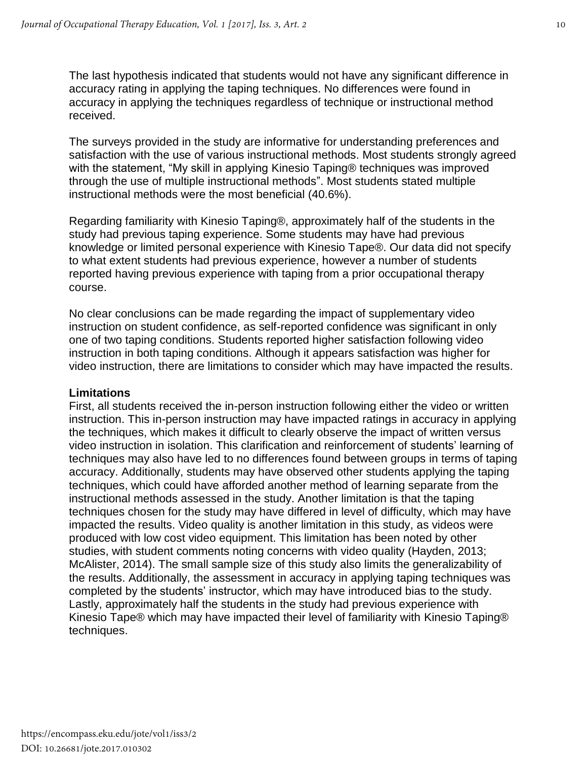The last hypothesis indicated that students would not have any significant difference in accuracy rating in applying the taping techniques. No differences were found in accuracy in applying the techniques regardless of technique or instructional method received.

The surveys provided in the study are informative for understanding preferences and satisfaction with the use of various instructional methods. Most students strongly agreed with the statement, "My skill in applying Kinesio Taping® techniques was improved through the use of multiple instructional methods". Most students stated multiple instructional methods were the most beneficial (40.6%).

Regarding familiarity with Kinesio Taping®, approximately half of the students in the study had previous taping experience. Some students may have had previous knowledge or limited personal experience with Kinesio Tape®. Our data did not specify to what extent students had previous experience, however a number of students reported having previous experience with taping from a prior occupational therapy course.

No clear conclusions can be made regarding the impact of supplementary video instruction on student confidence, as self-reported confidence was significant in only one of two taping conditions. Students reported higher satisfaction following video instruction in both taping conditions. Although it appears satisfaction was higher for video instruction, there are limitations to consider which may have impacted the results.

#### **Limitations**

First, all students received the in-person instruction following either the video or written instruction. This in-person instruction may have impacted ratings in accuracy in applying the techniques, which makes it difficult to clearly observe the impact of written versus video instruction in isolation. This clarification and reinforcement of students' learning of techniques may also have led to no differences found between groups in terms of taping accuracy. Additionally, students may have observed other students applying the taping techniques, which could have afforded another method of learning separate from the instructional methods assessed in the study. Another limitation is that the taping techniques chosen for the study may have differed in level of difficulty, which may have impacted the results. Video quality is another limitation in this study, as videos were produced with low cost video equipment. This limitation has been noted by other studies, with student comments noting concerns with video quality (Hayden, 2013; McAlister, 2014). The small sample size of this study also limits the generalizability of the results. Additionally, the assessment in accuracy in applying taping techniques was completed by the students' instructor, which may have introduced bias to the study. Lastly, approximately half the students in the study had previous experience with Kinesio Tape® which may have impacted their level of familiarity with Kinesio Taping® techniques.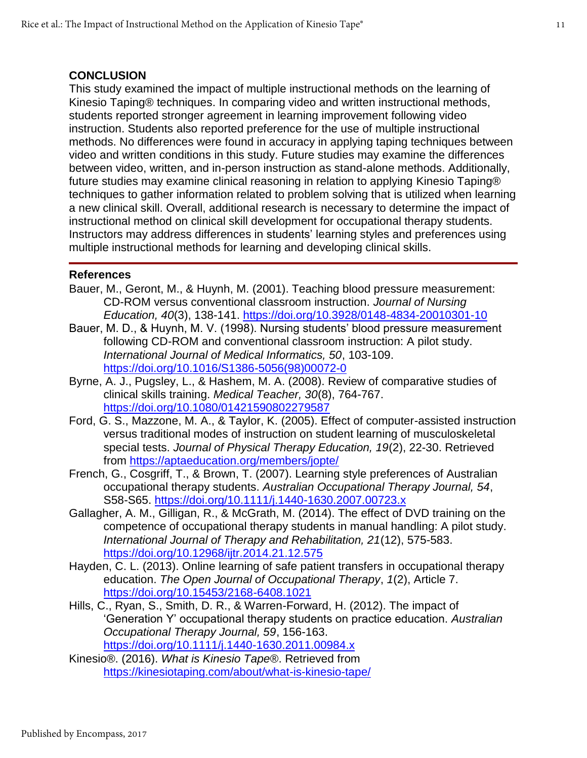#### **CONCLUSION**

This study examined the impact of multiple instructional methods on the learning of Kinesio Taping® techniques. In comparing video and written instructional methods, students reported stronger agreement in learning improvement following video instruction. Students also reported preference for the use of multiple instructional methods. No differences were found in accuracy in applying taping techniques between video and written conditions in this study. Future studies may examine the differences between video, written, and in-person instruction as stand-alone methods. Additionally, future studies may examine clinical reasoning in relation to applying Kinesio Taping® techniques to gather information related to problem solving that is utilized when learning a new clinical skill. Overall, additional research is necessary to determine the impact of instructional method on clinical skill development for occupational therapy students. Instructors may address differences in students' learning styles and preferences using multiple instructional methods for learning and developing clinical skills.

#### **References**

- Bauer, M., Geront, M., & Huynh, M. (2001). Teaching blood pressure measurement: CD-ROM versus conventional classroom instruction. *Journal of Nursing Education, 40*(3), 138-141. <https://doi.org/10.3928/0148-4834-20010301-10>
- Bauer, M. D., & Huynh, M. V. (1998). Nursing students' blood pressure measurement following CD-ROM and conventional classroom instruction: A pilot study. *International Journal of Medical Informatics, 50*, 103-109. [https://doi.org/10.1016/S1386-5056\(98\)00072-0](https://doi.org/10.1016/S1386-5056%2898%2900072-0)
- Byrne, A. J., Pugsley, L., & Hashem, M. A. (2008). Review of comparative studies of clinical skills training. *Medical Teacher, 30*(8), 764-767. <https://doi.org/10.1080/01421590802279587>
- Ford, G. S., Mazzone, M. A., & Taylor, K. (2005). Effect of computer-assisted instruction versus traditional modes of instruction on student learning of musculoskeletal special tests. *Journal of Physical Therapy Education, 19*(2), 22-30. Retrieved from<https://aptaeducation.org/members/jopte/>
- French, G., Cosgriff, T., & Brown, T. (2007). Learning style preferences of Australian occupational therapy students. *Australian Occupational Therapy Journal, 54*, S58-S65.<https://doi.org/10.1111/j.1440-1630.2007.00723.x>
- Gallagher, A. M., Gilligan, R., & McGrath, M. (2014). The effect of DVD training on the competence of occupational therapy students in manual handling: A pilot study. *International Journal of Therapy and Rehabilitation, 21*(12), 575-583. <https://doi.org/10.12968/ijtr.2014.21.12.575>
- Hayden, C. L. (2013). Online learning of safe patient transfers in occupational therapy education. *The Open Journal of Occupational Therapy*, *1*(2), Article 7. <https://doi.org/10.15453/2168-6408.1021>
- Hills, C., Ryan, S., Smith, D. R., & Warren-Forward, H. (2012). The impact of 'Generation Y' occupational therapy students on practice education. *Australian Occupational Therapy Journal, 59*, 156-163. <https://doi.org/10.1111/j.1440-1630.2011.00984.x>
- Kinesio®. (2016). *What is Kinesio Tape®*. Retrieved from <https://kinesiotaping.com/about/what-is-kinesio-tape/>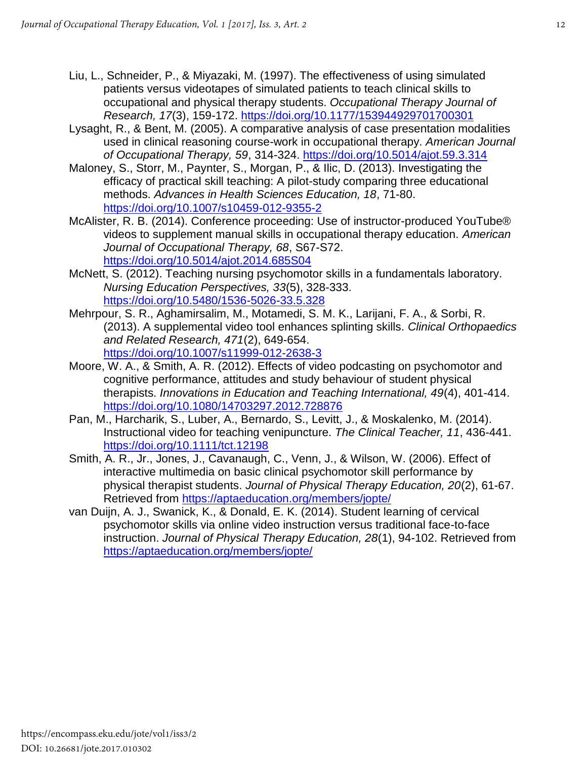- Liu, L., Schneider, P., & Miyazaki, M. (1997). The effectiveness of using simulated patients versus videotapes of simulated patients to teach clinical skills to occupational and physical therapy students. *Occupational Therapy Journal of Research, 17*(3), 159-172. <https://doi.org/10.1177/153944929701700301>
- Lysaght, R., & Bent, M. (2005). A comparative analysis of case presentation modalities used in clinical reasoning course-work in occupational therapy. *American Journal of Occupational Therapy, 59*, 314-324. <https://doi.org/10.5014/ajot.59.3.314>
- Maloney, S., Storr, M., Paynter, S., Morgan, P., & Ilic, D. (2013). Investigating the efficacy of practical skill teaching: A pilot-study comparing three educational methods. *Advances in Health Sciences Education, 18*, 71-80. <https://doi.org/10.1007/s10459-012-9355-2>
- McAlister, R. B. (2014). Conference proceeding: Use of instructor-produced YouTube® videos to supplement manual skills in occupational therapy education. *American Journal of Occupational Therapy, 68*, S67-S72. <https://doi.org/10.5014/ajot.2014.685S04>
- McNett, S. (2012). Teaching nursing psychomotor skills in a fundamentals laboratory. *Nursing Education Perspectives, 33*(5), 328-333. <https://doi.org/10.5480/1536-5026-33.5.328>
- Mehrpour, S. R., Aghamirsalim, M., Motamedi, S. M. K., Larijani, F. A., & Sorbi, R. (2013). A supplemental video tool enhances splinting skills. *Clinical Orthopaedics and Related Research, 471*(2), 649-654. <https://doi.org/10.1007/s11999-012-2638-3>
- Moore, W. A., & Smith, A. R. (2012). Effects of video podcasting on psychomotor and cognitive performance, attitudes and study behaviour of student physical therapists. *Innovations in Education and Teaching International, 49*(4), 401-414. <https://doi.org/10.1080/14703297.2012.728876>
- Pan, M., Harcharik, S., Luber, A., Bernardo, S., Levitt, J., & Moskalenko, M. (2014). Instructional video for teaching venipuncture. *The Clinical Teacher, 11*, 436-441. <https://doi.org/10.1111/tct.12198>
- Smith, A. R., Jr., Jones, J., Cavanaugh, C., Venn, J., & Wilson, W. (2006). Effect of interactive multimedia on basic clinical psychomotor skill performance by physical therapist students. *Journal of Physical Therapy Education, 20*(2), 61-67. Retrieved from<https://aptaeducation.org/members/jopte/>
- van Duijn, A. J., Swanick, K., & Donald, E. K. (2014). Student learning of cervical psychomotor skills via online video instruction versus traditional face-to-face instruction. *Journal of Physical Therapy Education, 28*(1), 94-102. Retrieved from <https://aptaeducation.org/members/jopte/>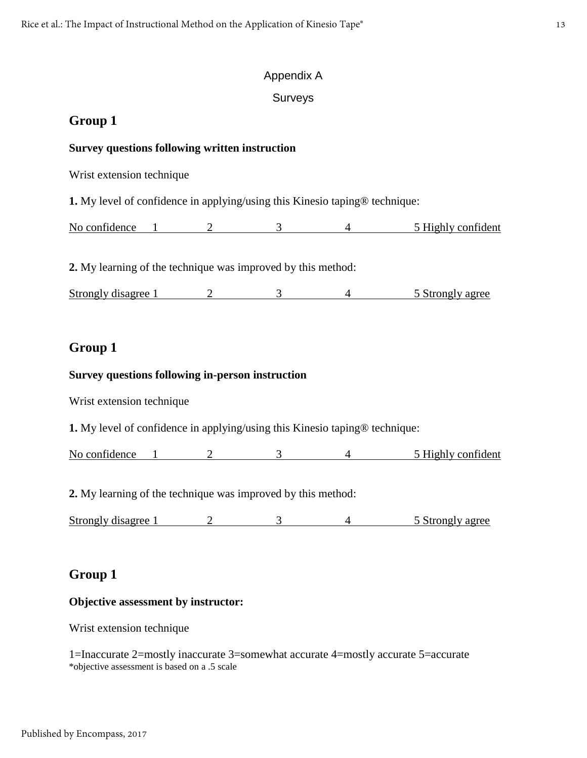#### Appendix A

#### Surveys

#### **Group 1**

#### **Survey questions following written instruction**

Wrist extension technique

**1.** My level of confidence in applying/using this Kinesio taping® technique:

No confidence 1 2 3 4 5 Highly confident

**2.** My learning of the technique was improved by this method:

Strongly disagree 1 2 3 4 5 Strongly agree

### **Group 1**

#### **Survey questions following in-person instruction**

Wrist extension technique

**1.** My level of confidence in applying/using this Kinesio taping® technique:

No confidence 1 2 3 4 5 Highly confident

**2.** My learning of the technique was improved by this method:

Strongly disagree 1 2 3 4 5 Strongly agree

#### **Group 1**

#### **Objective assessment by instructor:**

Wrist extension technique

1=Inaccurate 2=mostly inaccurate 3=somewhat accurate 4=mostly accurate 5=accurate \*objective assessment is based on a .5 scale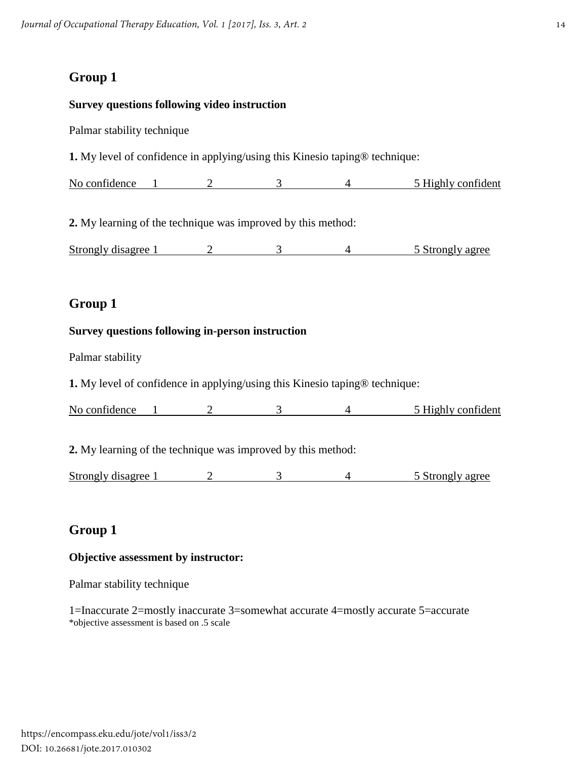#### **Survey questions following video instruction**

Palmar stability technique

**1.** My level of confidence in applying/using this Kinesio taping® technique:

No confidence 1 2 3 4 5 Highly confident

**2.** My learning of the technique was improved by this method:

Strongly disagree 1 2 3 4 5 Strongly agree

## **Group 1**

#### **Survey questions following in-person instruction**

Palmar stability

**1.** My level of confidence in applying/using this Kinesio taping® technique:

No confidence 1 2 3 4 5 Highly confident

**2.** My learning of the technique was improved by this method:

Strongly disagree 1 2 3 4 5 Strongly agree

## **Group 1**

#### **Objective assessment by instructor:**

Palmar stability technique

1=Inaccurate 2=mostly inaccurate 3=somewhat accurate 4=mostly accurate 5=accurate \*objective assessment is based on .5 scale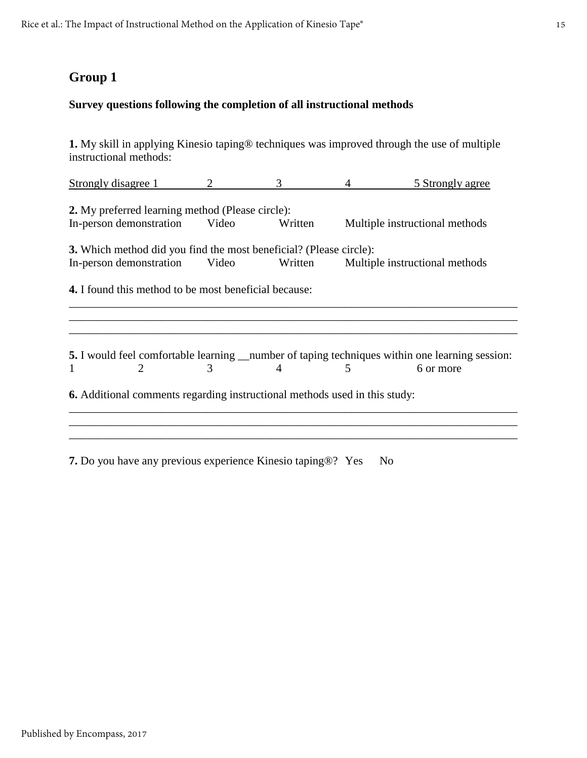#### **Survey questions following the completion of all instructional methods**

**1.** My skill in applying Kinesio taping® techniques was improved through the use of multiple instructional methods:

| Strongly disagree 1                                                                                                |       |         |   | 5 Strongly agree               |  |  |  |  |
|--------------------------------------------------------------------------------------------------------------------|-------|---------|---|--------------------------------|--|--|--|--|
| <b>2.</b> My preferred learning method (Please circle):                                                            |       |         |   |                                |  |  |  |  |
| In-person demonstration                                                                                            | Video | Written |   | Multiple instructional methods |  |  |  |  |
| <b>3.</b> Which method did you find the most beneficial? (Please circle):                                          |       |         |   |                                |  |  |  |  |
| In-person demonstration                                                                                            | Video | Written |   | Multiple instructional methods |  |  |  |  |
| <b>4.</b> I found this method to be most beneficial because:                                                       |       |         |   |                                |  |  |  |  |
|                                                                                                                    |       |         |   |                                |  |  |  |  |
| <b>5.</b> I would feel comfortable learning ___ number of taping techniques within one learning session:<br>1<br>2 | 3     | 4       | 5 | 6 or more                      |  |  |  |  |
|                                                                                                                    |       |         |   |                                |  |  |  |  |
| <b>6.</b> Additional comments regarding instructional methods used in this study:                                  |       |         |   |                                |  |  |  |  |
|                                                                                                                    |       |         |   |                                |  |  |  |  |
|                                                                                                                    |       |         |   |                                |  |  |  |  |

**7.** Do you have any previous experience Kinesio taping®? Yes No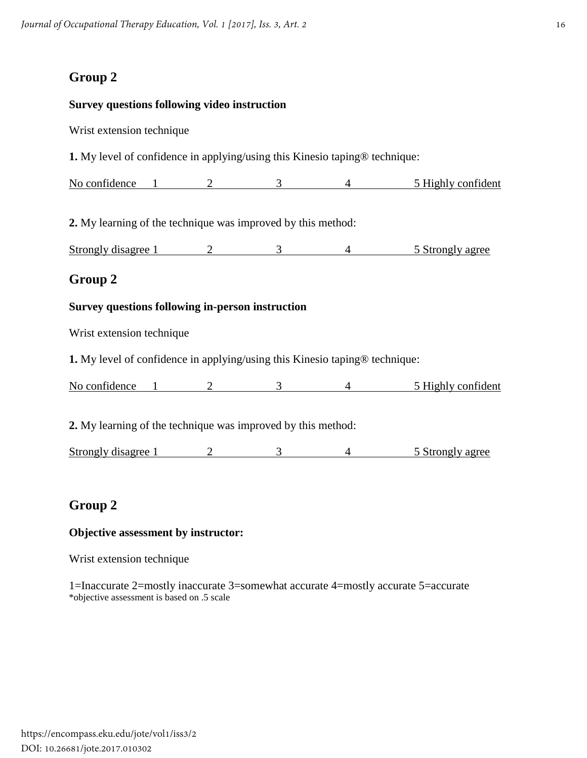## **Survey questions following video instruction** Wrist extension technique **1.** My level of confidence in applying/using this Kinesio taping® technique: No confidence 1 2 3 4 5 Highly confident **2.** My learning of the technique was improved by this method: Strongly disagree 1 2 3 4 5 Strongly agree **Group 2 Survey questions following in-person instruction** Wrist extension technique **1.** My level of confidence in applying/using this Kinesio taping® technique: No confidence 1 2 3 4 5 Highly confident **2.** My learning of the technique was improved by this method: Strongly disagree 1 2 3 4 5 Strongly agree **Group 2**

#### **Objective assessment by instructor:**

Wrist extension technique

1=Inaccurate 2=mostly inaccurate 3=somewhat accurate 4=mostly accurate 5=accurate \*objective assessment is based on .5 scale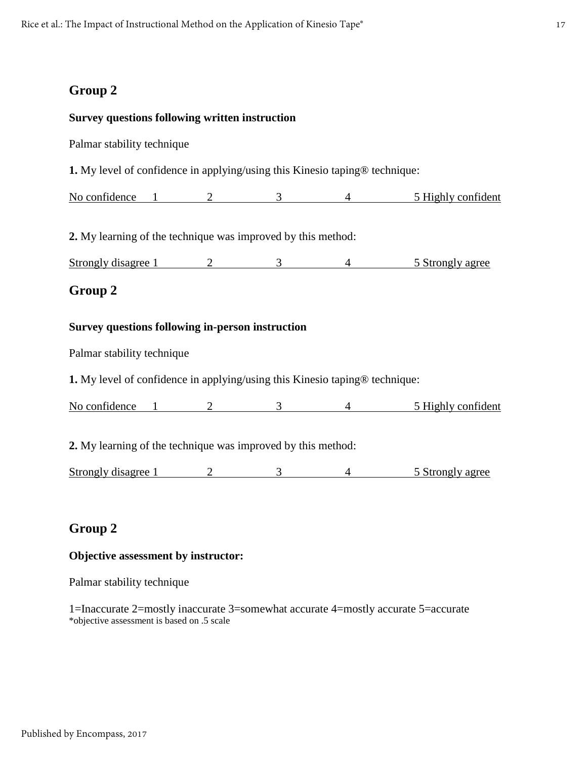#### **Survey questions following written instruction**

Palmar stability technique

**1.** My level of confidence in applying/using this Kinesio taping® technique:

No confidence 1 2 3 4 5 Highly confident

**2.** My learning of the technique was improved by this method:

Strongly disagree 1 2 3 4 5 Strongly agree

### **Group 2**

#### **Survey questions following in-person instruction**

Palmar stability technique

**1.** My level of confidence in applying/using this Kinesio taping® technique:

No confidence 1 2 3 4 5 Highly confident

**2.** My learning of the technique was improved by this method:

Strongly disagree 1 2 3 4 5 Strongly agree

## **Group 2**

#### **Objective assessment by instructor:**

Palmar stability technique

1=Inaccurate 2=mostly inaccurate 3=somewhat accurate 4=mostly accurate 5=accurate \*objective assessment is based on .5 scale